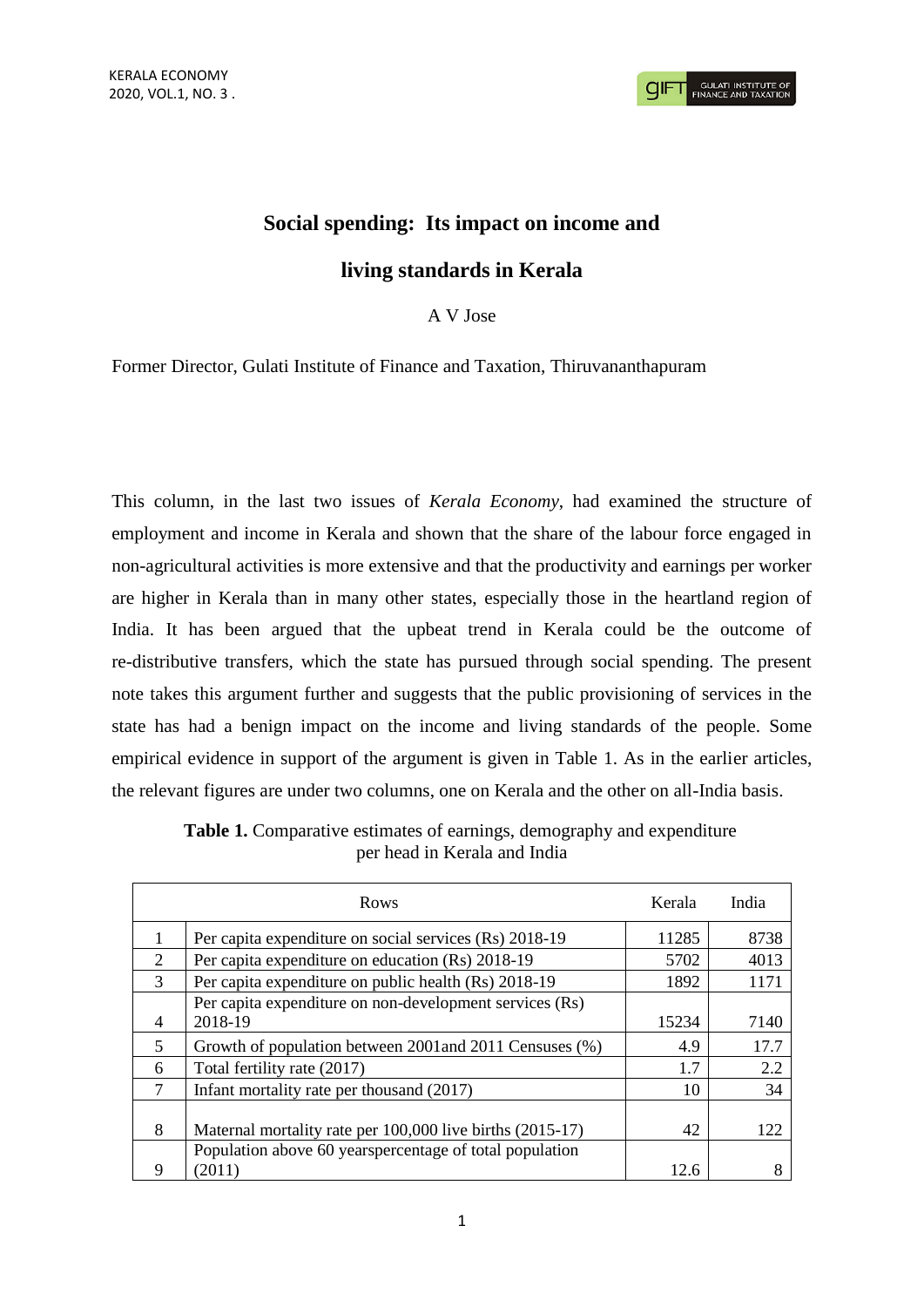## **Social spending: Its impact on income and**

## **living standards in Kerala**

A V Jose

Former Director, Gulati Institute of Finance and Taxation, Thiruvananthapuram

This column, in the last two issues of *Kerala Economy*, had examined the structure of employment and income in Kerala and shown that the share of the labour force engaged in non-agricultural activities is more extensive and that the productivity and earnings per worker are higher in Kerala than in many other states, especially those in the heartland region of India. It has been argued that the upbeat trend in Kerala could be the outcome of re-distributive transfers, which the state has pursued through social spending. The present note takes this argument further and suggests that the public provisioning of services in the state has had a benign impact on the income and living standards of the people. Some empirical evidence in support of the argument is given in Table 1. As in the earlier articles, the relevant figures are under two columns, one on Kerala and the other on all-India basis.

| Rows                        |                                                                    | Kerala | India |
|-----------------------------|--------------------------------------------------------------------|--------|-------|
|                             | Per capita expenditure on social services (Rs) 2018-19             | 11285  | 8738  |
| $\mathcal{D}_{\mathcal{L}}$ | Per capita expenditure on education (Rs) 2018-19                   | 5702   | 4013  |
| 3                           | Per capita expenditure on public health (Rs) 2018-19               | 1892   | 1171  |
| $\overline{4}$              | Per capita expenditure on non-development services (Rs)<br>2018-19 | 15234  | 7140  |
| 5                           | Growth of population between 2001 and 2011 Censuses (%)            | 4.9    | 17.7  |
| 6                           | Total fertility rate (2017)                                        | 1.7    | 2.2   |
| 7                           | Infant mortality rate per thousand (2017)                          | 10     | 34    |
| 8                           | Maternal mortality rate per 100,000 live births (2015-17)          | 42     | 122   |
| 9                           | Population above 60 yearspercentage of total population<br>(2011)  | 12.6   |       |

**Table 1.** Comparative estimates of earnings, demography and expenditure per head in Kerala and India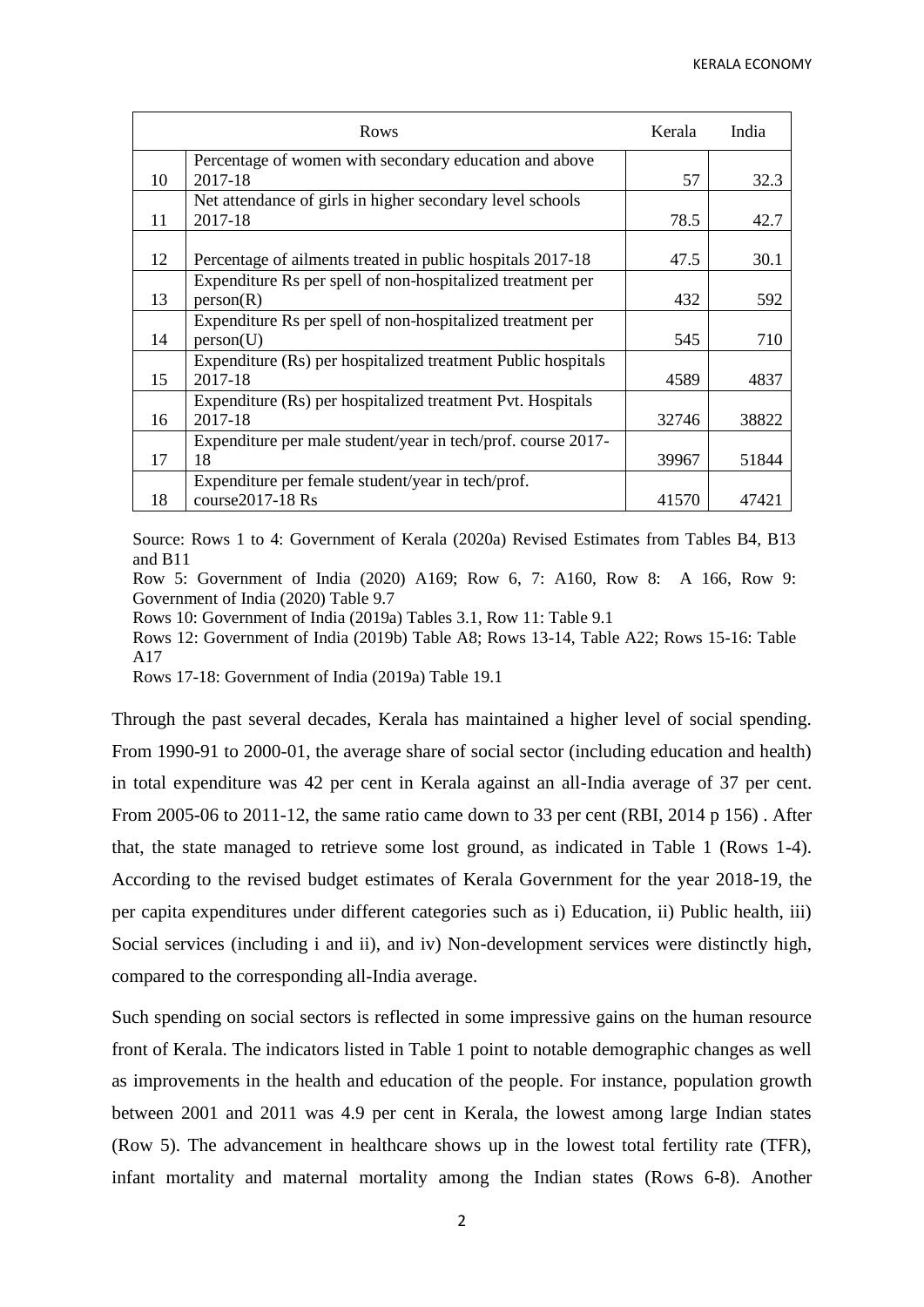| Rows |                                                              | Kerala | India |
|------|--------------------------------------------------------------|--------|-------|
|      | Percentage of women with secondary education and above       |        |       |
| 10   | 2017-18                                                      | 57     | 32.3  |
|      | Net attendance of girls in higher secondary level schools    |        |       |
| 11   | 2017-18                                                      | 78.5   | 42.7  |
|      |                                                              |        |       |
| 12   | Percentage of ailments treated in public hospitals 2017-18   | 47.5   | 30.1  |
|      | Expenditure Rs per spell of non-hospitalized treatment per   |        |       |
| 13   | person(R)                                                    | 432    | 592   |
|      | Expenditure Rs per spell of non-hospitalized treatment per   |        |       |
| 14   | person(U)                                                    | 545    | 710   |
|      | Expenditure (Rs) per hospitalized treatment Public hospitals |        |       |
| 15   | 2017-18                                                      | 4589   | 4837  |
|      | Expenditure (Rs) per hospitalized treatment Pvt. Hospitals   |        |       |
| 16   | 2017-18                                                      | 32746  | 38822 |
|      | Expenditure per male student/year in tech/prof. course 2017- |        |       |
| 17   | 18                                                           | 39967  | 51844 |
|      | Expenditure per female student/year in tech/prof.            |        |       |
| 18   | course2017-18 Rs                                             | 41570  | 47421 |

Source: Rows 1 to 4: Government of Kerala (2020a) Revised Estimates from Tables B4, B13 and B11

Row 5: Government of India (2020) A169; Row 6, 7: A160, Row 8: A 166, Row 9: Government of India (2020) Table 9.7

Rows 10: Government of India (2019a) Tables 3.1, Row 11: Table 9.1

Rows 12: Government of India (2019b) Table A8; Rows 13-14, Table A22; Rows 15-16: Table A17

Rows 17-18: Government of India (2019a) Table 19.1

Through the past several decades, Kerala has maintained a higher level of social spending. From 1990-91 to 2000-01, the average share of social sector (including education and health) in total expenditure was 42 per cent in Kerala against an all-India average of 37 per cent. From 2005-06 to 2011-12, the same ratio came down to 33 per cent (RBI, 2014 p 156) . After that, the state managed to retrieve some lost ground, as indicated in Table 1 (Rows 1-4). According to the revised budget estimates of Kerala Government for the year 2018-19, the per capita expenditures under different categories such as i) Education, ii) Public health, iii) Social services (including i and ii), and iv) Non-development services were distinctly high, compared to the corresponding all-India average.

Such spending on social sectors is reflected in some impressive gains on the human resource front of Kerala. The indicators listed in Table 1 point to notable demographic changes as well as improvements in the health and education of the people. For instance, population growth between 2001 and 2011 was 4.9 per cent in Kerala, the lowest among large Indian states (Row 5). The advancement in healthcare shows up in the lowest total fertility rate (TFR), infant mortality and maternal mortality among the Indian states (Rows 6-8). Another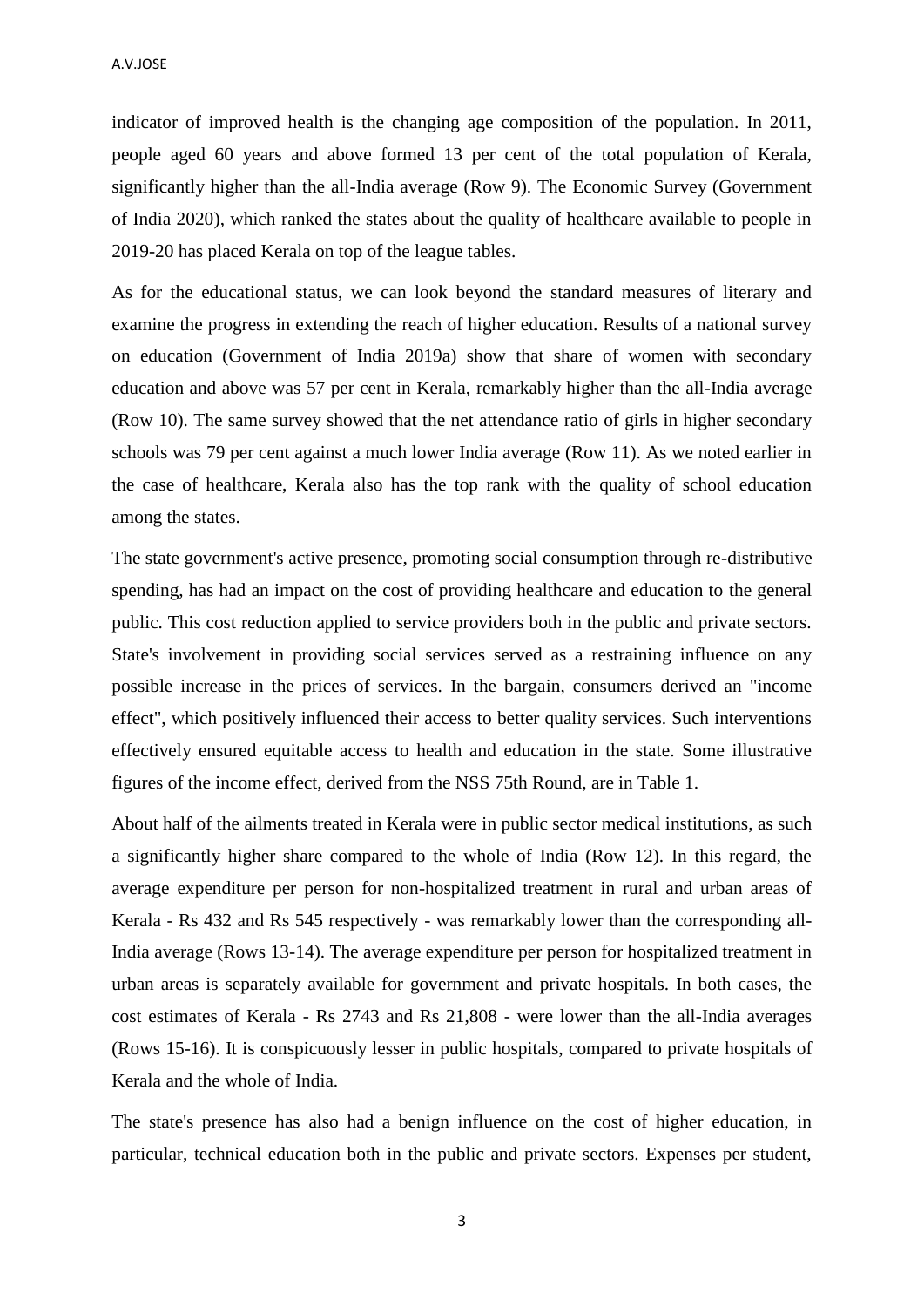indicator of improved health is the changing age composition of the population. In 2011, people aged 60 years and above formed 13 per cent of the total population of Kerala, significantly higher than the all-India average (Row 9). The Economic Survey (Government of India 2020), which ranked the states about the quality of healthcare available to people in 2019-20 has placed Kerala on top of the league tables.

As for the educational status, we can look beyond the standard measures of literary and examine the progress in extending the reach of higher education. Results of a national survey on education (Government of India 2019a) show that share of women with secondary education and above was 57 per cent in Kerala, remarkably higher than the all-India average (Row 10). The same survey showed that the net attendance ratio of girls in higher secondary schools was 79 per cent against a much lower India average (Row 11). As we noted earlier in the case of healthcare, Kerala also has the top rank with the quality of school education among the states.

The state government's active presence, promoting social consumption through re-distributive spending, has had an impact on the cost of providing healthcare and education to the general public. This cost reduction applied to service providers both in the public and private sectors. State's involvement in providing social services served as a restraining influence on any possible increase in the prices of services. In the bargain, consumers derived an "income effect", which positively influenced their access to better quality services. Such interventions effectively ensured equitable access to health and education in the state. Some illustrative figures of the income effect, derived from the NSS 75th Round, are in Table 1.

About half of the ailments treated in Kerala were in public sector medical institutions, as such a significantly higher share compared to the whole of India (Row 12). In this regard, the average expenditure per person for non-hospitalized treatment in rural and urban areas of Kerala - Rs 432 and Rs 545 respectively - was remarkably lower than the corresponding all-India average (Rows 13-14). The average expenditure per person for hospitalized treatment in urban areas is separately available for government and private hospitals. In both cases, the cost estimates of Kerala - Rs 2743 and Rs 21,808 - were lower than the all-India averages (Rows 15-16). It is conspicuously lesser in public hospitals, compared to private hospitals of Kerala and the whole of India.

The state's presence has also had a benign influence on the cost of higher education, in particular, technical education both in the public and private sectors. Expenses per student,